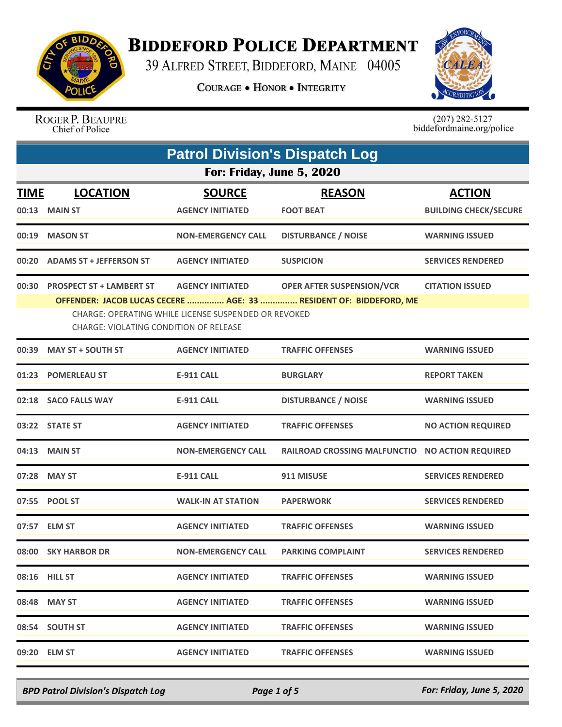

## **BIDDEFORD POLICE DEPARTMENT**

39 ALFRED STREET, BIDDEFORD, MAINE 04005

**COURAGE . HONOR . INTEGRITY** 



ROGER P. BEAUPRE<br>Chief of Police

 $(207)$  282-5127<br>biddefordmaine.org/police

|             | <b>Patrol Division's Dispatch Log</b>                                                          |                           |                                                                   |                              |  |
|-------------|------------------------------------------------------------------------------------------------|---------------------------|-------------------------------------------------------------------|------------------------------|--|
|             | For: Friday, June 5, 2020                                                                      |                           |                                                                   |                              |  |
| <b>TIME</b> | <b>LOCATION</b>                                                                                | <b>SOURCE</b>             | <b>REASON</b>                                                     | <b>ACTION</b>                |  |
|             | 00:13 MAIN ST                                                                                  | <b>AGENCY INITIATED</b>   | <b>FOOT BEAT</b>                                                  | <b>BUILDING CHECK/SECURE</b> |  |
|             | 00:19 MASON ST                                                                                 | <b>NON-EMERGENCY CALL</b> | <b>DISTURBANCE / NOISE</b>                                        | <b>WARNING ISSUED</b>        |  |
|             | 00:20 ADAMS ST + JEFFERSON ST                                                                  | <b>AGENCY INITIATED</b>   | <b>SUSPICION</b>                                                  | <b>SERVICES RENDERED</b>     |  |
|             | 00:30 PROSPECT ST + LAMBERT ST                                                                 | <b>AGENCY INITIATED</b>   | <b>OPER AFTER SUSPENSION/VCR</b>                                  | <b>CITATION ISSUED</b>       |  |
|             |                                                                                                |                           | OFFENDER: JACOB LUCAS CECERE  AGE: 33  RESIDENT OF: BIDDEFORD, ME |                              |  |
|             | CHARGE: OPERATING WHILE LICENSE SUSPENDED OR REVOKED<br>CHARGE: VIOLATING CONDITION OF RELEASE |                           |                                                                   |                              |  |
|             | 00:39 MAY ST + SOUTH ST                                                                        | <b>AGENCY INITIATED</b>   | <b>TRAFFIC OFFENSES</b>                                           | <b>WARNING ISSUED</b>        |  |
|             | 01:23 POMERLEAU ST                                                                             | <b>E-911 CALL</b>         | <b>BURGLARY</b>                                                   | <b>REPORT TAKEN</b>          |  |
|             | 02:18 SACO FALLS WAY                                                                           | <b>E-911 CALL</b>         | <b>DISTURBANCE / NOISE</b>                                        | <b>WARNING ISSUED</b>        |  |
|             | 03:22 STATE ST                                                                                 | <b>AGENCY INITIATED</b>   | <b>TRAFFIC OFFENSES</b>                                           | <b>NO ACTION REQUIRED</b>    |  |
|             | 04:13 MAIN ST                                                                                  | <b>NON-EMERGENCY CALL</b> | RAILROAD CROSSING MALFUNCTIO NO ACTION REQUIRED                   |                              |  |
|             | 07:28 MAY ST                                                                                   | <b>E-911 CALL</b>         | 911 MISUSE                                                        | <b>SERVICES RENDERED</b>     |  |
|             | 07:55 POOL ST                                                                                  | <b>WALK-IN AT STATION</b> | <b>PAPERWORK</b>                                                  | <b>SERVICES RENDERED</b>     |  |
|             | 07:57 ELM ST                                                                                   | <b>AGENCY INITIATED</b>   | <b>TRAFFIC OFFENSES</b>                                           | <b>WARNING ISSUED</b>        |  |
|             | 08:00 SKY HARBOR DR                                                                            | <b>NON-EMERGENCY CALL</b> | <b>PARKING COMPLAINT</b>                                          | <b>SERVICES RENDERED</b>     |  |
|             | 08:16 HILL ST                                                                                  | <b>AGENCY INITIATED</b>   | <b>TRAFFIC OFFENSES</b>                                           | <b>WARNING ISSUED</b>        |  |
|             | 08:48 MAY ST                                                                                   | <b>AGENCY INITIATED</b>   | <b>TRAFFIC OFFENSES</b>                                           | <b>WARNING ISSUED</b>        |  |
|             | 08:54 SOUTH ST                                                                                 | <b>AGENCY INITIATED</b>   | <b>TRAFFIC OFFENSES</b>                                           | <b>WARNING ISSUED</b>        |  |
|             | 09:20 ELM ST                                                                                   | <b>AGENCY INITIATED</b>   | <b>TRAFFIC OFFENSES</b>                                           | <b>WARNING ISSUED</b>        |  |

*BPD Patrol Division's Dispatch Log Page 1 of 5 For: Friday, June 5, 2020*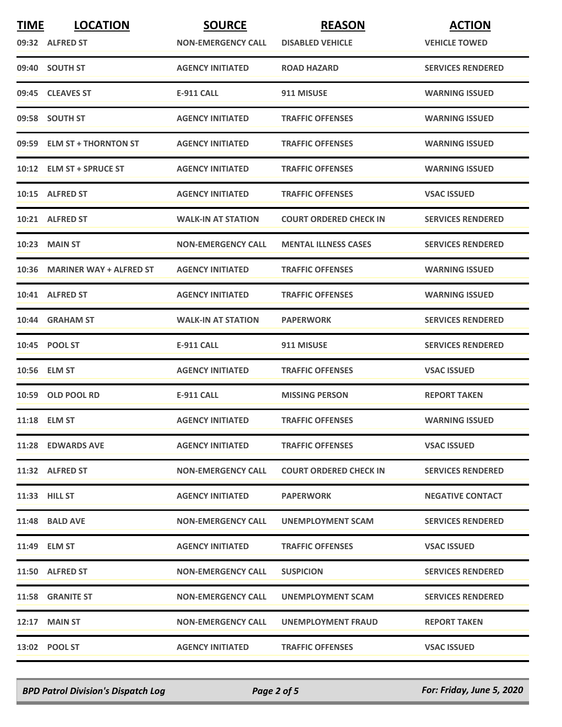| <b>TIME</b> | <b>LOCATION</b>               | <b>SOURCE</b>             | <b>REASON</b>                 | <b>ACTION</b>            |
|-------------|-------------------------------|---------------------------|-------------------------------|--------------------------|
|             | 09:32 ALFRED ST               | <b>NON-EMERGENCY CALL</b> | <b>DISABLED VEHICLE</b>       | <b>VEHICLE TOWED</b>     |
|             | 09:40 SOUTH ST                | <b>AGENCY INITIATED</b>   | <b>ROAD HAZARD</b>            | <b>SERVICES RENDERED</b> |
|             | 09:45 CLEAVES ST              | <b>E-911 CALL</b>         | 911 MISUSE                    | <b>WARNING ISSUED</b>    |
|             | 09:58 SOUTH ST                | <b>AGENCY INITIATED</b>   | <b>TRAFFIC OFFENSES</b>       | <b>WARNING ISSUED</b>    |
|             | 09:59 ELM ST + THORNTON ST    | <b>AGENCY INITIATED</b>   | <b>TRAFFIC OFFENSES</b>       | <b>WARNING ISSUED</b>    |
|             | 10:12 ELM ST + SPRUCE ST      | <b>AGENCY INITIATED</b>   | <b>TRAFFIC OFFENSES</b>       | <b>WARNING ISSUED</b>    |
|             | 10:15 ALFRED ST               | <b>AGENCY INITIATED</b>   | <b>TRAFFIC OFFENSES</b>       | <b>VSAC ISSUED</b>       |
|             | 10:21 ALFRED ST               | <b>WALK-IN AT STATION</b> | <b>COURT ORDERED CHECK IN</b> | <b>SERVICES RENDERED</b> |
|             | <b>10:23 MAIN ST</b>          | <b>NON-EMERGENCY CALL</b> | <b>MENTAL ILLNESS CASES</b>   | <b>SERVICES RENDERED</b> |
|             | 10:36 MARINER WAY + ALFRED ST | <b>AGENCY INITIATED</b>   | <b>TRAFFIC OFFENSES</b>       | <b>WARNING ISSUED</b>    |
|             | 10:41 ALFRED ST               | <b>AGENCY INITIATED</b>   | <b>TRAFFIC OFFENSES</b>       | <b>WARNING ISSUED</b>    |
|             | 10:44 GRAHAM ST               | <b>WALK-IN AT STATION</b> | <b>PAPERWORK</b>              | <b>SERVICES RENDERED</b> |
|             | 10:45 POOL ST                 | <b>E-911 CALL</b>         | 911 MISUSE                    | <b>SERVICES RENDERED</b> |
|             | 10:56 ELM ST                  | <b>AGENCY INITIATED</b>   | <b>TRAFFIC OFFENSES</b>       | <b>VSAC ISSUED</b>       |
|             | 10:59 OLD POOL RD             | <b>E-911 CALL</b>         | <b>MISSING PERSON</b>         | <b>REPORT TAKEN</b>      |
|             | 11:18 ELM ST                  | <b>AGENCY INITIATED</b>   | <b>TRAFFIC OFFENSES</b>       | <b>WARNING ISSUED</b>    |
|             | 11:28 EDWARDS AVE             | <b>AGENCY INITIATED</b>   | <b>TRAFFIC OFFENSES</b>       | <b>VSAC ISSUED</b>       |
|             | 11:32 ALFRED ST               | <b>NON-EMERGENCY CALL</b> | <b>COURT ORDERED CHECK IN</b> | <b>SERVICES RENDERED</b> |
|             | 11:33 HILL ST                 | <b>AGENCY INITIATED</b>   | <b>PAPERWORK</b>              | <b>NEGATIVE CONTACT</b>  |
|             | 11:48 BALD AVE                | <b>NON-EMERGENCY CALL</b> | UNEMPLOYMENT SCAM             | <b>SERVICES RENDERED</b> |
|             | 11:49 ELM ST                  | <b>AGENCY INITIATED</b>   | <b>TRAFFIC OFFENSES</b>       | <b>VSAC ISSUED</b>       |
|             | 11:50 ALFRED ST               | <b>NON-EMERGENCY CALL</b> | <b>SUSPICION</b>              | <b>SERVICES RENDERED</b> |
|             | <b>11:58 GRANITE ST</b>       | <b>NON-EMERGENCY CALL</b> | UNEMPLOYMENT SCAM             | <b>SERVICES RENDERED</b> |
|             | <b>12:17 MAIN ST</b>          | <b>NON-EMERGENCY CALL</b> | <b>UNEMPLOYMENT FRAUD</b>     | <b>REPORT TAKEN</b>      |
|             | 13:02 POOL ST                 | <b>AGENCY INITIATED</b>   | <b>TRAFFIC OFFENSES</b>       | <b>VSAC ISSUED</b>       |

*BPD Patrol Division's Dispatch Log Page 2 of 5 For: Friday, June 5, 2020*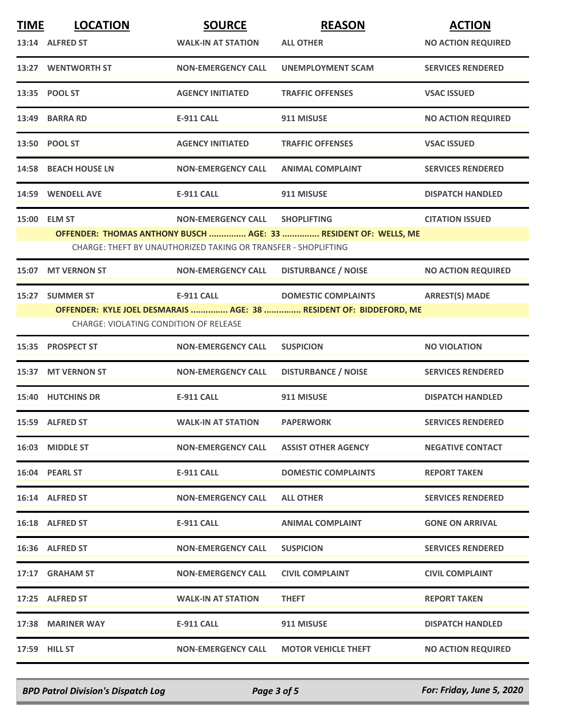| <b>TIME</b> | <b>LOCATION</b>                        | <b>SOURCE</b>                                                  | <b>REASON</b>                                                      | <b>ACTION</b>             |
|-------------|----------------------------------------|----------------------------------------------------------------|--------------------------------------------------------------------|---------------------------|
|             | 13:14 ALFRED ST                        | <b>WALK-IN AT STATION</b>                                      | <b>ALL OTHER</b>                                                   | <b>NO ACTION REQUIRED</b> |
|             | 13:27 WENTWORTH ST                     | <b>NON-EMERGENCY CALL</b>                                      | <b>UNEMPLOYMENT SCAM</b>                                           | <b>SERVICES RENDERED</b>  |
|             | 13:35 POOL ST                          | <b>AGENCY INITIATED</b>                                        | <b>TRAFFIC OFFENSES</b>                                            | <b>VSAC ISSUED</b>        |
|             | 13:49 BARRA RD                         | <b>E-911 CALL</b>                                              | 911 MISUSE                                                         | <b>NO ACTION REQUIRED</b> |
|             | 13:50 POOL ST                          | <b>AGENCY INITIATED</b>                                        | <b>TRAFFIC OFFENSES</b>                                            | <b>VSAC ISSUED</b>        |
|             | 14:58 BEACH HOUSE LN                   | <b>NON-EMERGENCY CALL</b>                                      | <b>ANIMAL COMPLAINT</b>                                            | <b>SERVICES RENDERED</b>  |
|             | 14:59 WENDELL AVE                      | <b>E-911 CALL</b>                                              | 911 MISUSE                                                         | <b>DISPATCH HANDLED</b>   |
|             | 15:00 ELM ST                           | <b>NON-EMERGENCY CALL</b>                                      | <b>SHOPLIFTING</b>                                                 | <b>CITATION ISSUED</b>    |
|             |                                        |                                                                | OFFENDER: THOMAS ANTHONY BUSCH  AGE: 33  RESIDENT OF: WELLS, ME    |                           |
|             |                                        | CHARGE: THEFT BY UNAUTHORIZED TAKING OR TRANSFER - SHOPLIFTING |                                                                    |                           |
| 15:07       | <b>MT VERNON ST</b>                    | <b>NON-EMERGENCY CALL</b>                                      | <b>DISTURBANCE / NOISE</b>                                         | <b>NO ACTION REQUIRED</b> |
|             | 15:27 SUMMER ST                        | <b>E-911 CALL</b>                                              | <b>DOMESTIC COMPLAINTS</b>                                         | <b>ARREST(S) MADE</b>     |
|             |                                        |                                                                | OFFENDER: KYLE JOEL DESMARAIS  AGE: 38  RESIDENT OF: BIDDEFORD, ME |                           |
|             | CHARGE: VIOLATING CONDITION OF RELEASE |                                                                |                                                                    |                           |
|             | 15:35 PROSPECT ST                      | <b>NON-EMERGENCY CALL</b>                                      | <b>SUSPICION</b>                                                   | <b>NO VIOLATION</b>       |
|             | 15:37 MT VERNON ST                     | <b>NON-EMERGENCY CALL</b>                                      | <b>DISTURBANCE / NOISE</b>                                         | <b>SERVICES RENDERED</b>  |
|             | <b>15:40 HUTCHINS DR</b>               | <b>E-911 CALL</b>                                              | 911 MISUSE                                                         | <b>DISPATCH HANDLED</b>   |
|             | 15:59 ALFRED ST                        | <b>WALK-IN AT STATION</b>                                      | <b>PAPERWORK</b>                                                   | <b>SERVICES RENDERED</b>  |
|             | 16:03 MIDDLE ST                        | <b>NON-EMERGENCY CALL</b>                                      | <b>ASSIST OTHER AGENCY</b>                                         | <b>NEGATIVE CONTACT</b>   |
|             | 16:04 PEARL ST                         | E-911 CALL                                                     | <b>DOMESTIC COMPLAINTS</b>                                         | <b>REPORT TAKEN</b>       |
|             | 16:14 ALFRED ST                        | <b>NON-EMERGENCY CALL</b>                                      | <b>ALL OTHER</b>                                                   | <b>SERVICES RENDERED</b>  |
|             | 16:18 ALFRED ST                        | E-911 CALL                                                     | <b>ANIMAL COMPLAINT</b>                                            | <b>GONE ON ARRIVAL</b>    |
|             | 16:36 ALFRED ST                        | <b>NON-EMERGENCY CALL</b>                                      | <b>SUSPICION</b>                                                   | <b>SERVICES RENDERED</b>  |
|             | 17:17 GRAHAM ST                        | <b>NON-EMERGENCY CALL</b>                                      | <b>CIVIL COMPLAINT</b>                                             | <b>CIVIL COMPLAINT</b>    |
|             | 17:25 ALFRED ST                        | <b>WALK-IN AT STATION</b>                                      | <b>THEFT</b>                                                       | <b>REPORT TAKEN</b>       |
|             | 17:38 MARINER WAY                      | <b>E-911 CALL</b>                                              | 911 MISUSE                                                         | <b>DISPATCH HANDLED</b>   |
|             | 17:59 HILL ST                          | <b>NON-EMERGENCY CALL</b>                                      | <b>MOTOR VEHICLE THEFT</b>                                         | <b>NO ACTION REQUIRED</b> |

*BPD Patrol Division's Dispatch Log Page 3 of 5 For: Friday, June 5, 2020*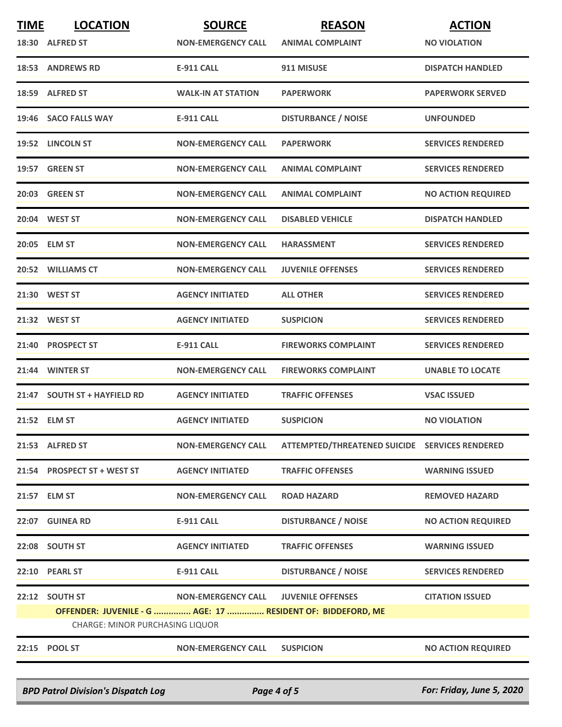| <b>TIME</b> | <b>LOCATION</b>                                             | <b>SOURCE</b>             | <b>REASON</b>                                  | <b>ACTION</b>             |
|-------------|-------------------------------------------------------------|---------------------------|------------------------------------------------|---------------------------|
|             | 18:30 ALFRED ST                                             | <b>NON-EMERGENCY CALL</b> | <b>ANIMAL COMPLAINT</b>                        | <b>NO VIOLATION</b>       |
|             | <b>18:53 ANDREWS RD</b>                                     | <b>E-911 CALL</b>         | 911 MISUSE                                     | <b>DISPATCH HANDLED</b>   |
|             | 18:59 ALFRED ST                                             | <b>WALK-IN AT STATION</b> | <b>PAPERWORK</b>                               | <b>PAPERWORK SERVED</b>   |
|             | 19:46 SACO FALLS WAY                                        | <b>E-911 CALL</b>         | <b>DISTURBANCE / NOISE</b>                     | <b>UNFOUNDED</b>          |
|             | 19:52 LINCOLN ST                                            | <b>NON-EMERGENCY CALL</b> | <b>PAPERWORK</b>                               | <b>SERVICES RENDERED</b>  |
|             | 19:57 GREEN ST                                              | <b>NON-EMERGENCY CALL</b> | <b>ANIMAL COMPLAINT</b>                        | <b>SERVICES RENDERED</b>  |
|             | 20:03 GREEN ST                                              | <b>NON-EMERGENCY CALL</b> | <b>ANIMAL COMPLAINT</b>                        | <b>NO ACTION REQUIRED</b> |
|             | 20:04 WEST ST                                               | <b>NON-EMERGENCY CALL</b> | <b>DISABLED VEHICLE</b>                        | <b>DISPATCH HANDLED</b>   |
|             | 20:05 ELM ST                                                | <b>NON-EMERGENCY CALL</b> | <b>HARASSMENT</b>                              | <b>SERVICES RENDERED</b>  |
|             | 20:52 WILLIAMS CT                                           | <b>NON-EMERGENCY CALL</b> | <b>JUVENILE OFFENSES</b>                       | <b>SERVICES RENDERED</b>  |
|             | 21:30 WEST ST                                               | <b>AGENCY INITIATED</b>   | <b>ALL OTHER</b>                               | <b>SERVICES RENDERED</b>  |
|             | 21:32 WEST ST                                               | <b>AGENCY INITIATED</b>   | <b>SUSPICION</b>                               | <b>SERVICES RENDERED</b>  |
|             | 21:40 PROSPECT ST                                           | <b>E-911 CALL</b>         | <b>FIREWORKS COMPLAINT</b>                     | <b>SERVICES RENDERED</b>  |
|             | 21:44 WINTER ST                                             | <b>NON-EMERGENCY CALL</b> | <b>FIREWORKS COMPLAINT</b>                     | <b>UNABLE TO LOCATE</b>   |
|             | 21:47 SOUTH ST + HAYFIELD RD                                | <b>AGENCY INITIATED</b>   | <b>TRAFFIC OFFENSES</b>                        | <b>VSAC ISSUED</b>        |
|             | 21:52 ELM ST                                                | <b>AGENCY INITIATED</b>   | <b>SUSPICION</b>                               | <b>NO VIOLATION</b>       |
|             | 21:53 ALFRED ST                                             | <b>NON-EMERGENCY CALL</b> | ATTEMPTED/THREATENED SUICIDE SERVICES RENDERED |                           |
|             | 21:54 PROSPECT ST + WEST ST                                 | <b>AGENCY INITIATED</b>   | <b>TRAFFIC OFFENSES</b>                        | <b>WARNING ISSUED</b>     |
|             | 21:57 ELM ST                                                | <b>NON-EMERGENCY CALL</b> | <b>ROAD HAZARD</b>                             | <b>REMOVED HAZARD</b>     |
|             | 22:07 GUINEA RD                                             | <b>E-911 CALL</b>         | <b>DISTURBANCE / NOISE</b>                     | <b>NO ACTION REQUIRED</b> |
|             | 22:08 SOUTH ST                                              | <b>AGENCY INITIATED</b>   | <b>TRAFFIC OFFENSES</b>                        | <b>WARNING ISSUED</b>     |
|             | 22:10 PEARL ST                                              | <b>E-911 CALL</b>         | <b>DISTURBANCE / NOISE</b>                     | <b>SERVICES RENDERED</b>  |
|             | 22:12 SOUTH ST                                              | <b>NON-EMERGENCY CALL</b> | <b>JUVENILE OFFENSES</b>                       | <b>CITATION ISSUED</b>    |
|             | OFFENDER: JUVENILE - G  AGE: 17  RESIDENT OF: BIDDEFORD, ME |                           |                                                |                           |
|             | <b>CHARGE: MINOR PURCHASING LIQUOR</b>                      |                           |                                                |                           |
|             | 22:15 POOL ST                                               | <b>NON-EMERGENCY CALL</b> | <b>SUSPICION</b>                               | <b>NO ACTION REQUIRED</b> |

*BPD Patrol Division's Dispatch Log Page 4 of 5 For: Friday, June 5, 2020*